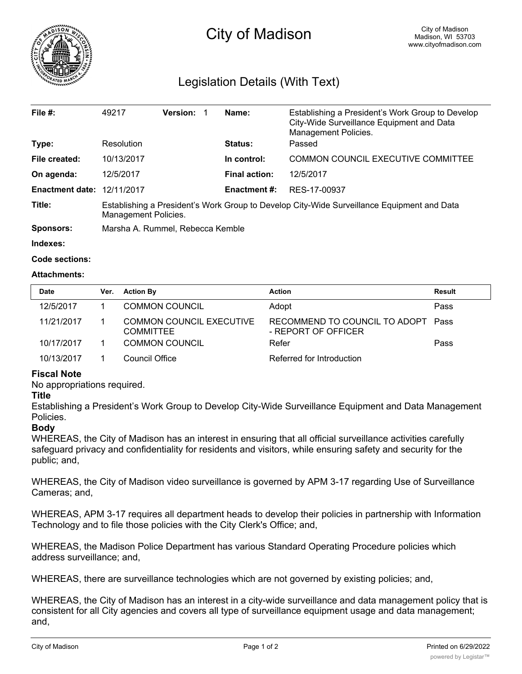

# City of Madison

# Legislation Details (With Text)

| File $#$ :             | 49217                                                                                                              | <b>Version:</b> |                     | Name:                                     | Establishing a President's Work Group to Develop<br>City-Wide Surveillance Equipment and Data<br>Management Policies. |  |
|------------------------|--------------------------------------------------------------------------------------------------------------------|-----------------|---------------------|-------------------------------------------|-----------------------------------------------------------------------------------------------------------------------|--|
| Type:                  | Resolution                                                                                                         |                 |                     | <b>Status:</b>                            | Passed                                                                                                                |  |
| File created:          | 10/13/2017                                                                                                         |                 | In control:         | <b>COMMON COUNCIL EXECUTIVE COMMITTEE</b> |                                                                                                                       |  |
| On agenda:             | 12/5/2017                                                                                                          |                 |                     | <b>Final action:</b>                      | 12/5/2017                                                                                                             |  |
| <b>Enactment date:</b> | 12/11/2017                                                                                                         |                 | <b>Enactment #:</b> | RES-17-00937                              |                                                                                                                       |  |
| Title:                 | Establishing a President's Work Group to Develop City-Wide Surveillance Equipment and Data<br>Management Policies. |                 |                     |                                           |                                                                                                                       |  |
| <b>Sponsors:</b>       | Marsha A. Rummel, Rebecca Kemble                                                                                   |                 |                     |                                           |                                                                                                                       |  |

**Indexes:**

```
Code sections:
```
#### **Attachments:**

| <b>Date</b> | Ver. | <b>Action By</b>                                    | <b>Action</b>                                             | Result |
|-------------|------|-----------------------------------------------------|-----------------------------------------------------------|--------|
| 12/5/2017   |      | <b>COMMON COUNCIL</b>                               | Adopt                                                     | Pass   |
| 11/21/2017  |      | <b>COMMON COUNCIL EXECUTIVE</b><br><b>COMMITTEE</b> | RECOMMEND TO COUNCIL TO ADOPT Pass<br>- REPORT OF OFFICER |        |
| 10/17/2017  |      | COMMON COUNCIL                                      | Refer                                                     | Pass   |
| 10/13/2017  |      | Council Office                                      | Referred for Introduction                                 |        |

## **Fiscal Note**

No appropriations required.

#### **Title**

Establishing a President's Work Group to Develop City-Wide Surveillance Equipment and Data Management Policies.

## **Body**

WHEREAS, the City of Madison has an interest in ensuring that all official surveillance activities carefully safeguard privacy and confidentiality for residents and visitors, while ensuring safety and security for the public; and,

WHEREAS, the City of Madison video surveillance is governed by APM 3-17 regarding Use of Surveillance Cameras; and,

WHEREAS, APM 3-17 requires all department heads to develop their policies in partnership with Information Technology and to file those policies with the City Clerk's Office; and,

WHEREAS, the Madison Police Department has various Standard Operating Procedure policies which address surveillance; and,

WHEREAS, there are surveillance technologies which are not governed by existing policies; and,

WHEREAS, the City of Madison has an interest in a city-wide surveillance and data management policy that is consistent for all City agencies and covers all type of surveillance equipment usage and data management; and,